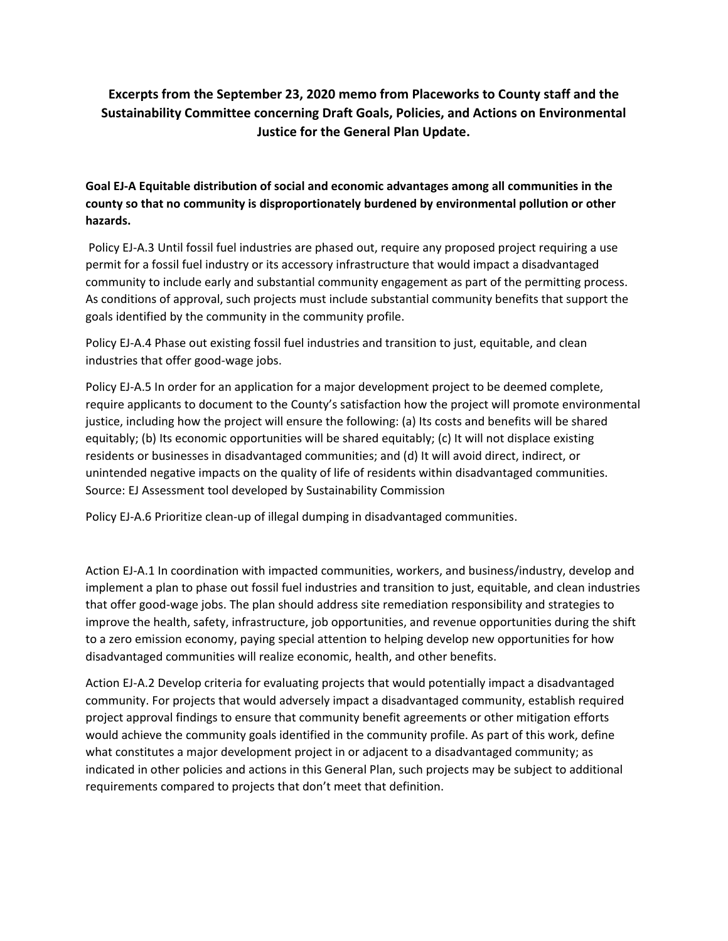# **Excerpts from the September 23, 2020 memo from Placeworks to County staff and the Sustainability Committee concerning Draft Goals, Policies, and Actions on Environmental Justice for the General Plan Update.**

# **Goal EJ-A Equitable distribution of social and economic advantages among all communities in the county so that no community is disproportionately burdened by environmental pollution or other hazards.**

Policy EJ-A.3 Until fossil fuel industries are phased out, require any proposed project requiring a use permit for a fossil fuel industry or its accessory infrastructure that would impact a disadvantaged community to include early and substantial community engagement as part of the permitting process. As conditions of approval, such projects must include substantial community benefits that support the goals identified by the community in the community profile.

Policy EJ-A.4 Phase out existing fossil fuel industries and transition to just, equitable, and clean industries that offer good-wage jobs.

Policy EJ-A.5 In order for an application for a major development project to be deemed complete, require applicants to document to the County's satisfaction how the project will promote environmental justice, including how the project will ensure the following: (a) Its costs and benefits will be shared equitably; (b) Its economic opportunities will be shared equitably; (c) It will not displace existing residents or businesses in disadvantaged communities; and (d) It will avoid direct, indirect, or unintended negative impacts on the quality of life of residents within disadvantaged communities. Source: EJ Assessment tool developed by Sustainability Commission

Policy EJ-A.6 Prioritize clean-up of illegal dumping in disadvantaged communities.

Action EJ-A.1 In coordination with impacted communities, workers, and business/industry, develop and implement a plan to phase out fossil fuel industries and transition to just, equitable, and clean industries that offer good-wage jobs. The plan should address site remediation responsibility and strategies to improve the health, safety, infrastructure, job opportunities, and revenue opportunities during the shift to a zero emission economy, paying special attention to helping develop new opportunities for how disadvantaged communities will realize economic, health, and other benefits.

Action EJ-A.2 Develop criteria for evaluating projects that would potentially impact a disadvantaged community. For projects that would adversely impact a disadvantaged community, establish required project approval findings to ensure that community benefit agreements or other mitigation efforts would achieve the community goals identified in the community profile. As part of this work, define what constitutes a major development project in or adjacent to a disadvantaged community; as indicated in other policies and actions in this General Plan, such projects may be subject to additional requirements compared to projects that don't meet that definition.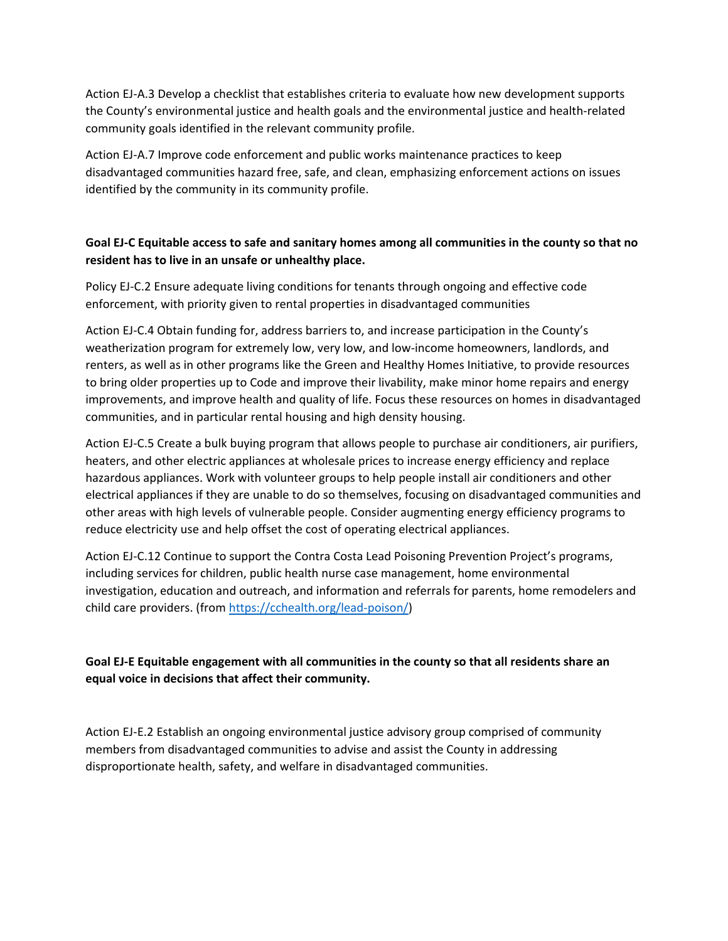Action EJ-A.3 Develop a checklist that establishes criteria to evaluate how new development supports the County's environmental justice and health goals and the environmental justice and health-related community goals identified in the relevant community profile.

Action EJ-A.7 Improve code enforcement and public works maintenance practices to keep disadvantaged communities hazard free, safe, and clean, emphasizing enforcement actions on issues identified by the community in its community profile.

## **Goal EJ-C Equitable access to safe and sanitary homes among all communities in the county so that no resident has to live in an unsafe or unhealthy place.**

Policy EJ-C.2 Ensure adequate living conditions for tenants through ongoing and effective code enforcement, with priority given to rental properties in disadvantaged communities

Action EJ-C.4 Obtain funding for, address barriers to, and increase participation in the County's weatherization program for extremely low, very low, and low-income homeowners, landlords, and renters, as well as in other programs like the Green and Healthy Homes Initiative, to provide resources to bring older properties up to Code and improve their livability, make minor home repairs and energy improvements, and improve health and quality of life. Focus these resources on homes in disadvantaged communities, and in particular rental housing and high density housing.

Action EJ-C.5 Create a bulk buying program that allows people to purchase air conditioners, air purifiers, heaters, and other electric appliances at wholesale prices to increase energy efficiency and replace hazardous appliances. Work with volunteer groups to help people install air conditioners and other electrical appliances if they are unable to do so themselves, focusing on disadvantaged communities and other areas with high levels of vulnerable people. Consider augmenting energy efficiency programs to reduce electricity use and help offset the cost of operating electrical appliances.

Action EJ-C.12 Continue to support the Contra Costa Lead Poisoning Prevention Project's programs, including services for children, public health nurse case management, home environmental investigation, education and outreach, and information and referrals for parents, home remodelers and child care providers. (fro[m https://cchealth.org/lead-poison/\)](https://cchealth.org/lead-poison/)

### **Goal EJ-E Equitable engagement with all communities in the county so that all residents share an equal voice in decisions that affect their community.**

Action EJ-E.2 Establish an ongoing environmental justice advisory group comprised of community members from disadvantaged communities to advise and assist the County in addressing disproportionate health, safety, and welfare in disadvantaged communities.